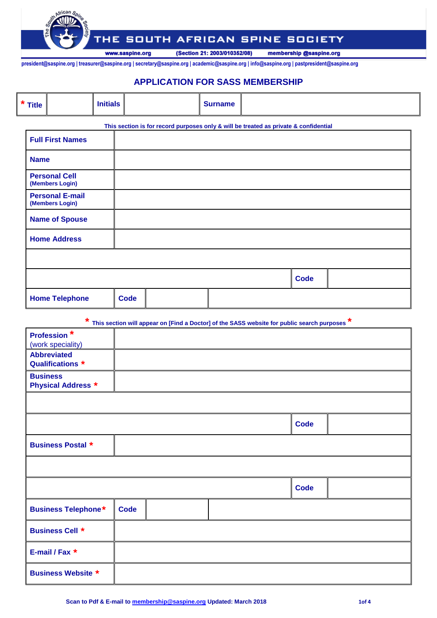**SOUTH AFRICAN SPINE SOCIETY** THE

> (Section 21: 2003/010352/08) membership @saspine.org

**president@saspine.org | treasurer@saspine.org | secretary@saspine.org | academic@saspine.org | info@saspine.org | pastpresident@saspine.org | congress@saspine.org**

www.saspine.org

### **APPLICATION FOR SASS MEMBERSHIP**

| $*$ Title | <b>Nitiale</b> |  | <b>Surname</b> |  |
|-----------|----------------|--|----------------|--|
|-----------|----------------|--|----------------|--|

|                                           |             | This section is for record purposes only & will be treated as private & confidential |             |  |
|-------------------------------------------|-------------|--------------------------------------------------------------------------------------|-------------|--|
| <b>Full First Names</b>                   |             |                                                                                      |             |  |
| <b>Name</b>                               |             |                                                                                      |             |  |
| <b>Personal Cell</b><br>(Members Login)   |             |                                                                                      |             |  |
| <b>Personal E-mail</b><br>(Members Login) |             |                                                                                      |             |  |
| <b>Name of Spouse</b>                     |             |                                                                                      |             |  |
| <b>Home Address</b>                       |             |                                                                                      |             |  |
|                                           |             |                                                                                      |             |  |
|                                           |             |                                                                                      | <b>Code</b> |  |
| <b>Home Telephone</b>                     | <b>Code</b> |                                                                                      |             |  |

**\* This section will appear on [Find a Doctor] of the SASS website for public search purposes \***

| <b>Profession*</b><br>(work speciality)      |             |  |             |  |
|----------------------------------------------|-------------|--|-------------|--|
| <b>Abbreviated</b><br>Qualifications *       |             |  |             |  |
| <b>Business</b><br><b>Physical Address *</b> |             |  |             |  |
|                                              |             |  |             |  |
|                                              |             |  | <b>Code</b> |  |
| <b>Business Postal *</b>                     |             |  |             |  |
|                                              |             |  |             |  |
|                                              |             |  | <b>Code</b> |  |
| Business Telephone*                          | <b>Code</b> |  |             |  |
| <b>Business Cell *</b>                       |             |  |             |  |
| E-mail / Fax *                               |             |  |             |  |
| <b>Business Website *</b>                    |             |  |             |  |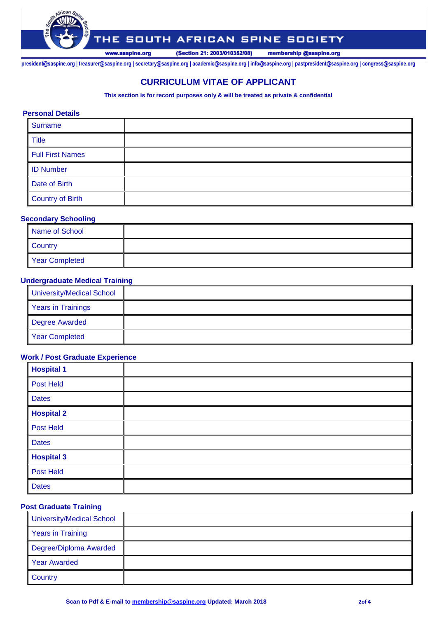

# THE SOUTH AFRICAN SPINE SOCIETY

(Section 21: 2003/010352/08) membership @saspine.org

**president@saspine.org | treasurer@saspine.org | secretary@saspine.org | academic@saspine.org | info@saspine.org | pastpresident@saspine.org | congress@saspine.org**

## **CURRICULUM VITAE OF APPLICANT**

**This section is for record purposes only & will be treated as private & confidential**

#### **Personal Details**

| Surname          |  |
|------------------|--|
| <b>Title</b>     |  |
| Full First Names |  |
| <b>ID Number</b> |  |
| Date of Birth    |  |
| Country of Birth |  |

#### **Secondary Schooling**

| Name of School |  |
|----------------|--|
| <b>Country</b> |  |
| Year Completed |  |

#### **Undergraduate Medical Training**

| <b>University/Medical School</b> |  |
|----------------------------------|--|
| <b>Years in Trainings</b>        |  |
| Degree Awarded                   |  |
| <b>Year Completed</b>            |  |

### **Work / Post Graduate Experience**

| <b>Hospital 1</b> |  |
|-------------------|--|
| <b>Post Held</b>  |  |
| <b>Dates</b>      |  |
| <b>Hospital 2</b> |  |
| Post Held         |  |
| <b>Dates</b>      |  |
| <b>Hospital 3</b> |  |
| Post Held         |  |
| <b>Dates</b>      |  |

#### **Post Graduate Training**

| University/Medical School |  |
|---------------------------|--|
| <b>Years in Training</b>  |  |
| Degree/Diploma Awarded    |  |
| <b>Year Awarded</b>       |  |
| <b>Country</b>            |  |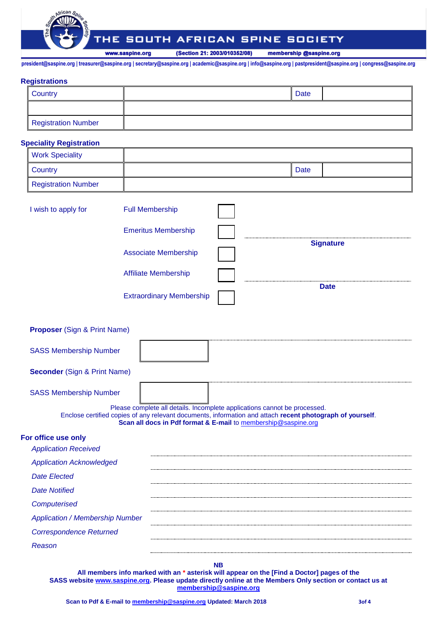

#### SOUTH AFRICAN SPINE SOCIETY ΉΕ

www.saspine.org

(Section 21: 2003/010352/08) membership @saspine.org

**president@saspine.org | treasurer@saspine.org | secretary@saspine.org | academic@saspine.org | info@saspine.org | pastpresident@saspine.org | congress@saspine.org**

#### **Registrations**

| <b>Country</b>      | <b>Date</b> |  |
|---------------------|-------------|--|
|                     |             |  |
| Registration Number |             |  |

#### **Speciality Registration**

| <b>Work Speciality</b> |      |  |
|------------------------|------|--|
| <b>Country</b>         | Date |  |
| Registration Number    |      |  |

| I wish to apply for | <b>Full Membership</b>          |                  |
|---------------------|---------------------------------|------------------|
|                     | <b>Emeritus Membership</b>      |                  |
|                     | <b>Associate Membership</b>     | <b>Signature</b> |
|                     | <b>Affiliate Membership</b>     |                  |
|                     | <b>Extraordinary Membership</b> | <b>Date</b>      |
|                     |                                 |                  |

| <b>Proposer</b> (Sign & Print Name)                                                                       |                                                                           |  |  |
|-----------------------------------------------------------------------------------------------------------|---------------------------------------------------------------------------|--|--|
| <b>SASS Membership Number</b>                                                                             |                                                                           |  |  |
| <b>Seconder</b> (Sign & Print Name)                                                                       |                                                                           |  |  |
| <b>SASS Membership Number</b>                                                                             | Please complete all details. Incomplete applications cannot be processed. |  |  |
| Enclose certified copies of any relevant documents, information and attach recent photograph of yourself. | Scan all docs in Pdf format & E-mail to membership@saspine.org            |  |  |
| For office use only                                                                                       |                                                                           |  |  |
| <b>Application Received</b>                                                                               |                                                                           |  |  |
| <b>Application Acknowledged</b>                                                                           |                                                                           |  |  |
| <b>Date Elected</b>                                                                                       |                                                                           |  |  |
| <b>Date Notified</b>                                                                                      |                                                                           |  |  |
| Computerised                                                                                              |                                                                           |  |  |
| <b>Application / Membership Number</b>                                                                    |                                                                           |  |  |
| <b>Correspondence Returned</b>                                                                            |                                                                           |  |  |
|                                                                                                           |                                                                           |  |  |

*Reason*

**NB**

**All members info marked with an \* asterisk will appear on the [Find a Doctor] pages of the SASS website [www.saspine.org.](http://www.saspine.org/) Please update directly online at the Members Only section or contact us at [membership@saspine.org](mailto:membership@saspine.org)**